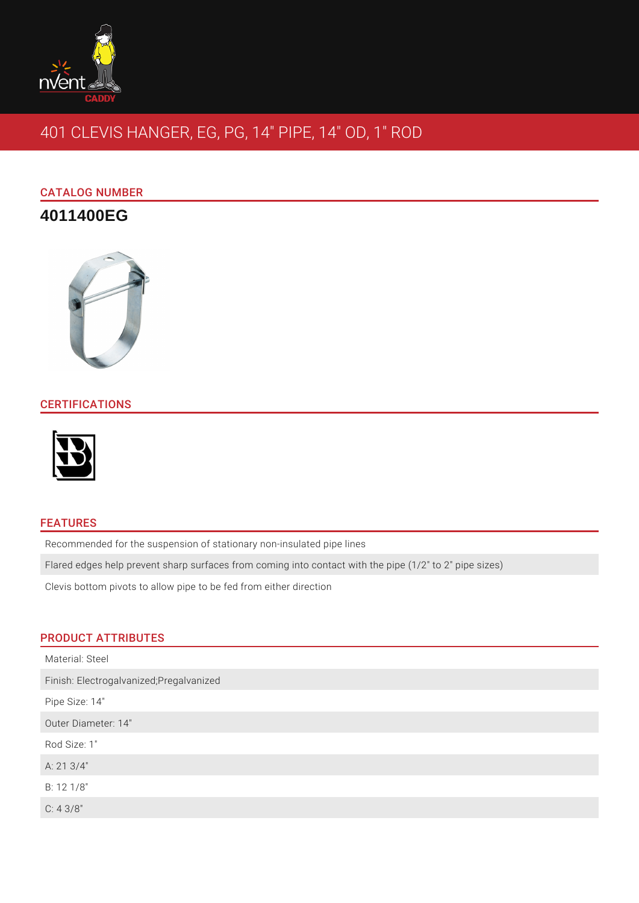

# 401 CLEVIS HANGER, EG, PG, 14" PIPE, 14" OD, 1" ROD

# CATALOG NUMBER

# **4011400EG**



## **CERTIFICATIONS**



#### FEATURES

Recommended for the suspension of stationary non-insulated pipe lines

Flared edges help prevent sharp surfaces from coming into contact with the pipe (1/2" to 2" pipe sizes)

Clevis bottom pivots to allow pipe to be fed from either direction

## PRODUCT ATTRIBUTES

| Material: Steel                          |
|------------------------------------------|
| Finish: Electrogalvanized; Pregalvanized |
| Pipe Size: 14"                           |
| Outer Diameter: 14"                      |
| Rod Size: 1"                             |
| A: 21 3/4"                               |
| B: 12 1/8"                               |
| C: 43/8"                                 |